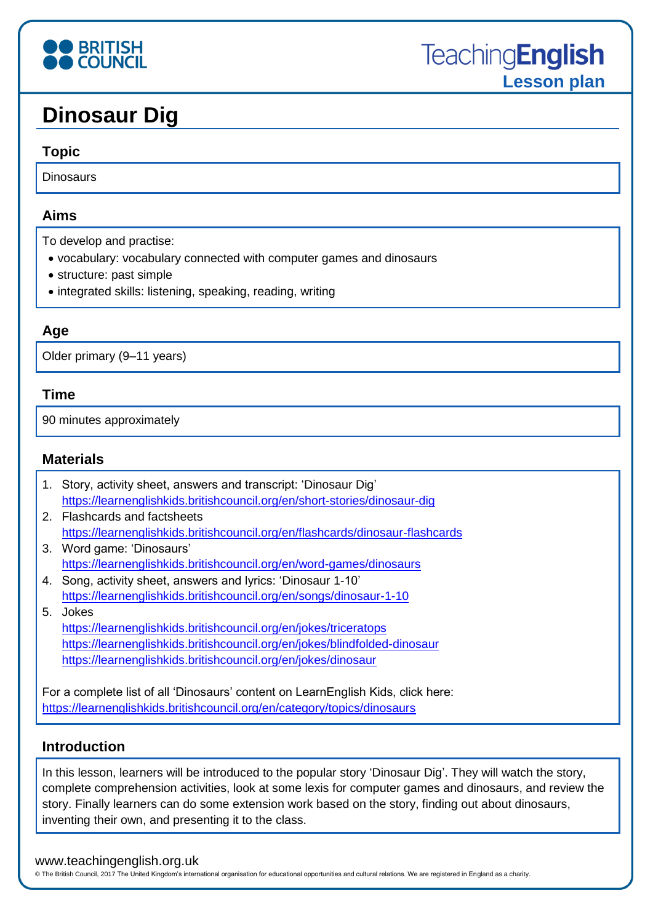# **BRITISH**<br>**COUNCIL**

## **Dinosaur Dig**

#### **Topic**

Dinosaurs

#### **Aims**

To develop and practise:

- vocabulary: vocabulary connected with computer games and dinosaurs
- structure: past simple
- integrated skills: listening, speaking, reading, writing

#### **Age**

Older primary (9–11 years)

#### **Time**

90 minutes approximately

#### **Materials**

| 1. Story, activity sheet, answers and transcript: 'Dinosaur Dig'              |  |
|-------------------------------------------------------------------------------|--|
| https://learnenglishkids.britishcouncil.org/en/short-stories/dinosaur-dig     |  |
| 2. Flashcards and factsheets                                                  |  |
| https://learnenglishkids.britishcouncil.org/en/flashcards/dinosaur-flashcards |  |
| 3. Word game: 'Dinosaurs'                                                     |  |
| https://learnenglishkids.britishcouncil.org/en/word-games/dinosaurs           |  |
| 4. Song, activity sheet, answers and lyrics: 'Dinosaur 1-10'                  |  |
|                                                                               |  |

<https://learnenglishkids.britishcouncil.org/en/songs/dinosaur-1-10> 5. Jokes

<https://learnenglishkids.britishcouncil.org/en/jokes/triceratops> <https://learnenglishkids.britishcouncil.org/en/jokes/blindfolded-dinosaur> <https://learnenglishkids.britishcouncil.org/en/jokes/dinosaur>

For a complete list of all 'Dinosaurs' content on LearnEnglish Kids, click here: <https://learnenglishkids.britishcouncil.org/en/category/topics/dinosaurs>

#### **Introduction**

In this lesson, learners will be introduced to the popular story 'Dinosaur Dig'. They will watch the story, complete comprehension activities, look at some lexis for computer games and dinosaurs, and review the story. Finally learners can do some extension work based on the story, finding out about dinosaurs, inventing their own, and presenting it to the class.

#### www.teachingenglish.org.uk

© The British Council, 2017 The United Kingdom's international organisation for educational opportunities and cultural relations. We are registered in England as a charity.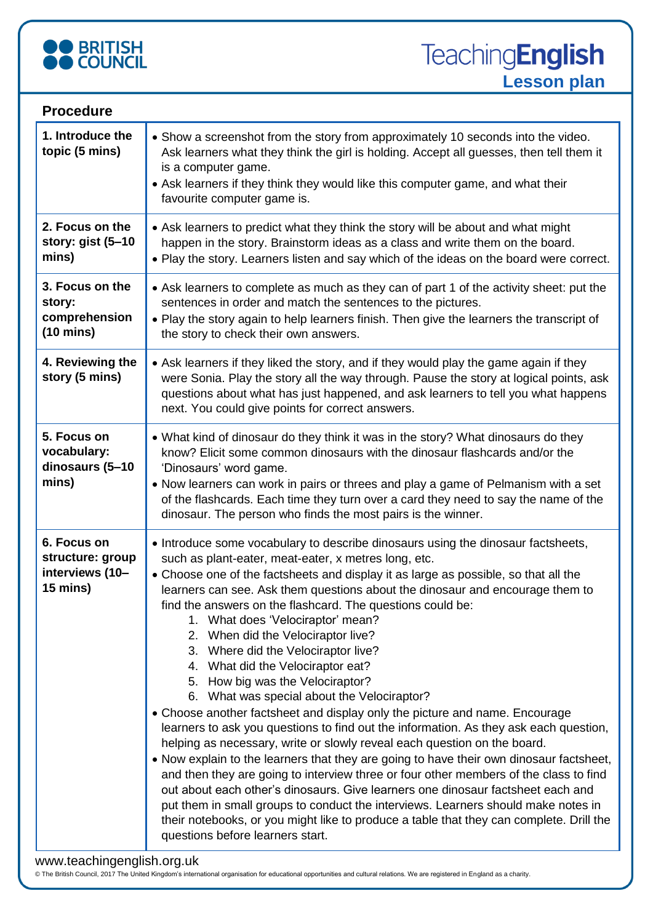

**TeachingEnglish Lesson plan**

| <b>Procedure</b>                                                        |                                                                                                                                                                                                                                                                                                                                                                                                                                                                                                                                                                                                                                                                                                                                                                                                                                                                                                                                                                                                                                                                                                                                                                                                                                                                                                                                                                         |  |  |
|-------------------------------------------------------------------------|-------------------------------------------------------------------------------------------------------------------------------------------------------------------------------------------------------------------------------------------------------------------------------------------------------------------------------------------------------------------------------------------------------------------------------------------------------------------------------------------------------------------------------------------------------------------------------------------------------------------------------------------------------------------------------------------------------------------------------------------------------------------------------------------------------------------------------------------------------------------------------------------------------------------------------------------------------------------------------------------------------------------------------------------------------------------------------------------------------------------------------------------------------------------------------------------------------------------------------------------------------------------------------------------------------------------------------------------------------------------------|--|--|
| 1. Introduce the<br>topic (5 mins)                                      | • Show a screenshot from the story from approximately 10 seconds into the video.<br>Ask learners what they think the girl is holding. Accept all guesses, then tell them it<br>is a computer game.<br>• Ask learners if they think they would like this computer game, and what their<br>favourite computer game is.                                                                                                                                                                                                                                                                                                                                                                                                                                                                                                                                                                                                                                                                                                                                                                                                                                                                                                                                                                                                                                                    |  |  |
| 2. Focus on the<br>story: gist (5-10<br>mins)                           | • Ask learners to predict what they think the story will be about and what might<br>happen in the story. Brainstorm ideas as a class and write them on the board.<br>. Play the story. Learners listen and say which of the ideas on the board were correct.                                                                                                                                                                                                                                                                                                                                                                                                                                                                                                                                                                                                                                                                                                                                                                                                                                                                                                                                                                                                                                                                                                            |  |  |
| 3. Focus on the<br>story:<br>comprehension<br>$(10 \text{ mins})$       | • Ask learners to complete as much as they can of part 1 of the activity sheet: put the<br>sentences in order and match the sentences to the pictures.<br>. Play the story again to help learners finish. Then give the learners the transcript of<br>the story to check their own answers.                                                                                                                                                                                                                                                                                                                                                                                                                                                                                                                                                                                                                                                                                                                                                                                                                                                                                                                                                                                                                                                                             |  |  |
| 4. Reviewing the<br>story (5 mins)                                      | • Ask learners if they liked the story, and if they would play the game again if they<br>were Sonia. Play the story all the way through. Pause the story at logical points, ask<br>questions about what has just happened, and ask learners to tell you what happens<br>next. You could give points for correct answers.                                                                                                                                                                                                                                                                                                                                                                                                                                                                                                                                                                                                                                                                                                                                                                                                                                                                                                                                                                                                                                                |  |  |
| 5. Focus on<br>vocabulary:<br>dinosaurs (5-10<br>mins)                  | • What kind of dinosaur do they think it was in the story? What dinosaurs do they<br>know? Elicit some common dinosaurs with the dinosaur flashcards and/or the<br>'Dinosaurs' word game.<br>• Now learners can work in pairs or threes and play a game of Pelmanism with a set<br>of the flashcards. Each time they turn over a card they need to say the name of the<br>dinosaur. The person who finds the most pairs is the winner.                                                                                                                                                                                                                                                                                                                                                                                                                                                                                                                                                                                                                                                                                                                                                                                                                                                                                                                                  |  |  |
| 6. Focus on<br>structure: group<br>interviews (10-<br>$15 \text{ mins}$ | • Introduce some vocabulary to describe dinosaurs using the dinosaur factsheets,<br>such as plant-eater, meat-eater, x metres long, etc.<br>• Choose one of the factsheets and display it as large as possible, so that all the<br>learners can see. Ask them questions about the dinosaur and encourage them to<br>find the answers on the flashcard. The questions could be:<br>1. What does 'Velociraptor' mean?<br>2. When did the Velociraptor live?<br>3. Where did the Velociraptor live?<br>4. What did the Velociraptor eat?<br>5. How big was the Velociraptor?<br>6. What was special about the Velociraptor?<br>• Choose another factsheet and display only the picture and name. Encourage<br>learners to ask you questions to find out the information. As they ask each question,<br>helping as necessary, write or slowly reveal each question on the board.<br>. Now explain to the learners that they are going to have their own dinosaur factsheet,<br>and then they are going to interview three or four other members of the class to find<br>out about each other's dinosaurs. Give learners one dinosaur factsheet each and<br>put them in small groups to conduct the interviews. Learners should make notes in<br>their notebooks, or you might like to produce a table that they can complete. Drill the<br>questions before learners start. |  |  |

© The British Council, 2017 The United Kingdom's international organisation for educational opportunities and cultural relations. We are registered in England as a charity.